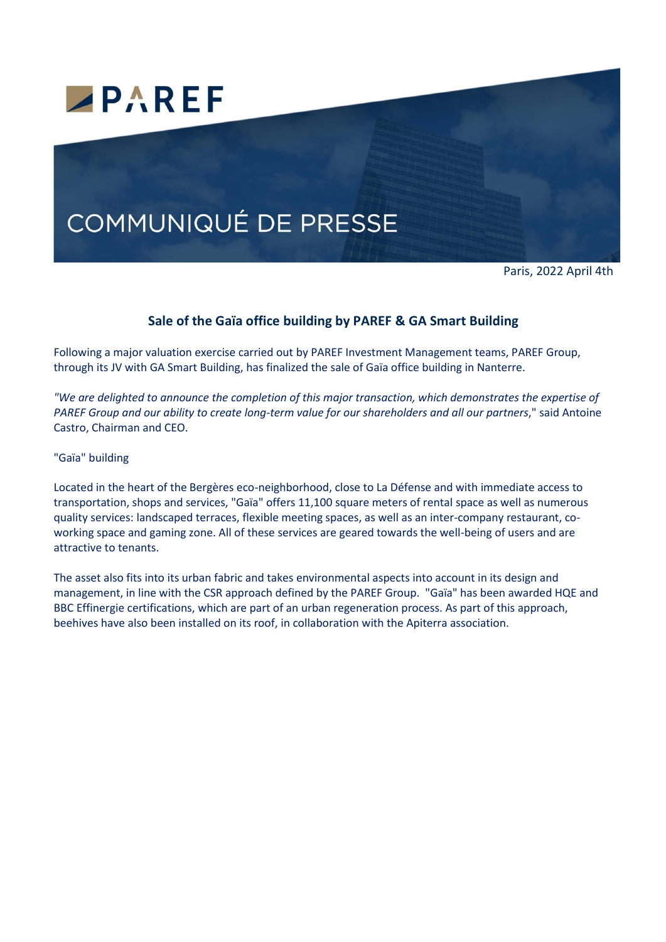

# **COMMUNIQUÉ DE PRESSE**

Paris, 2022 April 4th

## **Sale of the Gaïa office building by PAREF & GA Smart Building**

Following a major valuation exercise carried out by PAREF Investment Management teams, PAREF Group, through its JV with GA Smart Building, has finalized the sale of Gaïa office building in Nanterre.

*"We are delighted to announce the completion of this major transaction, which demonstrates the expertise of PAREF Group and our ability to create long-term value for our shareholders and all our partners*," said Antoine Castro, Chairman and CEO.

"Gaïa" building

Located in the heart of the Bergères eco-neighborhood, close to La Défense and with immediate access to transportation, shops and services, "Gaïa" offers 11,100 square meters of rental space as well as numerous quality services: landscaped terraces, flexible meeting spaces, as well as an inter-company restaurant, coworking space and gaming zone. All of these services are geared towards the well-being of users and are attractive to tenants.

The asset also fits into its urban fabric and takes environmental aspects into account in its design and management, in line with the CSR approach defined by the PAREF Group. "Gaïa" has been awarded HQE and BBC Effinergie certifications, which are part of an urban regeneration process. As part of this approach, beehives have also been installed on its roof, in collaboration with the Apiterra association.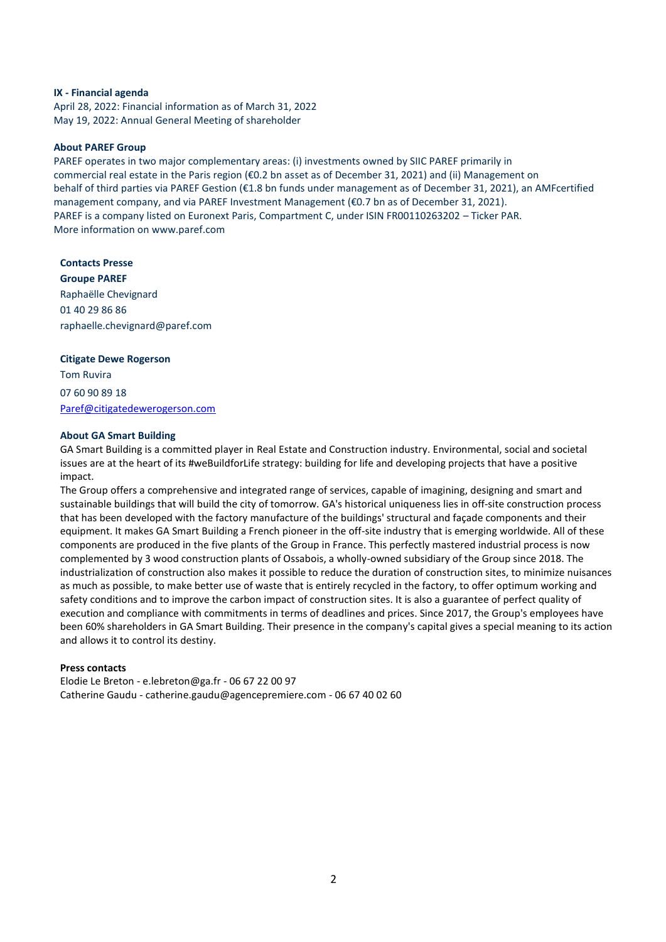#### **IX - Financial agenda**

April 28, 2022: Financial information as of March 31, 2022 May 19, 2022: Annual General Meeting of shareholder

#### **About PAREF Group**

PAREF operates in two major complementary areas: (i) investments owned by SIIC PAREF primarily in commercial real estate in the Paris region (€0.2 bn asset as of December 31, 2021) and (ii) Management on behalf of third parties via PAREF Gestion (€1.8 bn funds under management as of December 31, 2021), an AMFcertified management company, and via PAREF Investment Management (€0.7 bn as of December 31, 2021). PAREF is a company listed on Euronext Paris, Compartment C, under ISIN FR00110263202 – Ticker PAR. More information on www.paref.com

**Contacts Presse Groupe PAREF** Raphaëlle Chevignard 01 40 29 86 86 raphaelle.chevignard@paref.com

#### **Citigate Dewe Rogerson**

Tom Ruvira 07 60 90 89 18 [Paref@citigatedewerogerson.com](mailto:Paref@citigatedewerogerson.com)

#### **About GA Smart Building**

GA Smart Building is a committed player in Real Estate and Construction industry. Environmental, social and societal issues are at the heart of its #weBuildforLife strategy: building for life and developing projects that have a positive impact.

The Group offers a comprehensive and integrated range of services, capable of imagining, designing and smart and sustainable buildings that will build the city of tomorrow. GA's historical uniqueness lies in off-site construction process that has been developed with the factory manufacture of the buildings' structural and façade components and their equipment. It makes GA Smart Building a French pioneer in the off-site industry that is emerging worldwide. All of these components are produced in the five plants of the Group in France. This perfectly mastered industrial process is now complemented by 3 wood construction plants of Ossabois, a wholly-owned subsidiary of the Group since 2018. The industrialization of construction also makes it possible to reduce the duration of construction sites, to minimize nuisances as much as possible, to make better use of waste that is entirely recycled in the factory, to offer optimum working and safety conditions and to improve the carbon impact of construction sites. It is also a guarantee of perfect quality of execution and compliance with commitments in terms of deadlines and prices. Since 2017, the Group's employees have been 60% shareholders in GA Smart Building. Their presence in the company's capital gives a special meaning to its action and allows it to control its destiny.

### **Press contacts**

Elodie Le Breton - e.lebreton@ga.fr - 06 67 22 00 97 Catherine Gaudu - catherine.gaudu@agencepremiere.com - 06 67 40 02 60